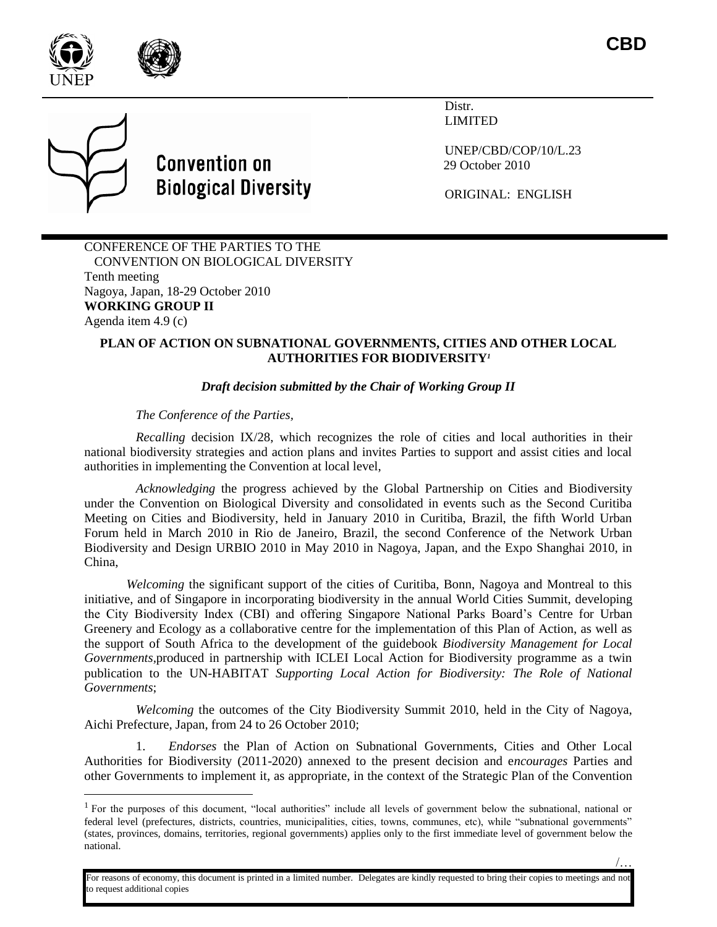

l

Distr. LIMITED

UNEP/CBD/COP/10/L.23 29 October 2010

ORIGINAL: ENGLISH

CONFERENCE OF THE PARTIES TO THE CONVENTION ON BIOLOGICAL DIVERSITY Tenth meeting Nagoya, Japan, 18-29 October 2010 **WORKING GROUP II** Agenda item 4.9 (c)

**Convention on** 

**Biological Diversity** 

### **PLAN OF ACTION ON SUBNATIONAL GOVERNMENTS, CITIES AND OTHER LOCAL AUTHORITIES FOR BIODIVERSITY***<sup>1</sup>*

## *Draft decision submitted by the Chair of Working Group II*

*The Conference of the Parties,* 

*Recalling* decision IX/28, which recognizes the role of cities and local authorities in their national biodiversity strategies and action plans and invites Parties to support and assist cities and local authorities in implementing the Convention at local level,

*Acknowledging* the progress achieved by the Global Partnership on Cities and Biodiversity under the Convention on Biological Diversity and consolidated in events such as the Second Curitiba Meeting on Cities and Biodiversity, held in January 2010 in Curitiba, Brazil, the fifth World Urban Forum held in March 2010 in Rio de Janeiro, Brazil, the second Conference of the Network Urban Biodiversity and Design URBIO 2010 in May 2010 in Nagoya, Japan, and the Expo Shanghai 2010, in China,

*Welcoming* the significant support of the cities of Curitiba, Bonn, Nagoya and Montreal to this initiative, and of Singapore in incorporating biodiversity in the annual World Cities Summit, developing the City Biodiversity Index (CBI) and offering Singapore National Parks Board's Centre for Urban Greenery and Ecology as a collaborative centre for the implementation of this Plan of Action, as well as the support of South Africa to the development of the guidebook *Biodiversity Management for Local Governments,*produced in partnership with ICLEI Local Action for Biodiversity programme as a twin publication to the UN-HABITAT *Supporting Local Action for Biodiversity: The Role of National Governments*;

*Welcoming* the outcomes of the City Biodiversity Summit 2010, held in the City of Nagoya, Aichi Prefecture, Japan, from 24 to 26 October 2010;

1. *Endorses* the Plan of Action on Subnational Governments, Cities and Other Local Authorities for Biodiversity (2011-2020) annexed to the present decision and e*ncourages* Parties and other Governments to implement it, as appropriate, in the context of the Strategic Plan of the Convention

For reasons of economy, this document is printed in a limited number. Delegates are kindly requested to bring their copies to meetings and not o request additional copies

<sup>&</sup>lt;sup>1</sup> For the purposes of this document, "local authorities" include all levels of government below the subnational, national or federal level (prefectures, districts, countries, municipalities, cities, towns, communes, etc), while "subnational governments" (states, provinces, domains, territories, regional governments) applies only to the first immediate level of government below the national.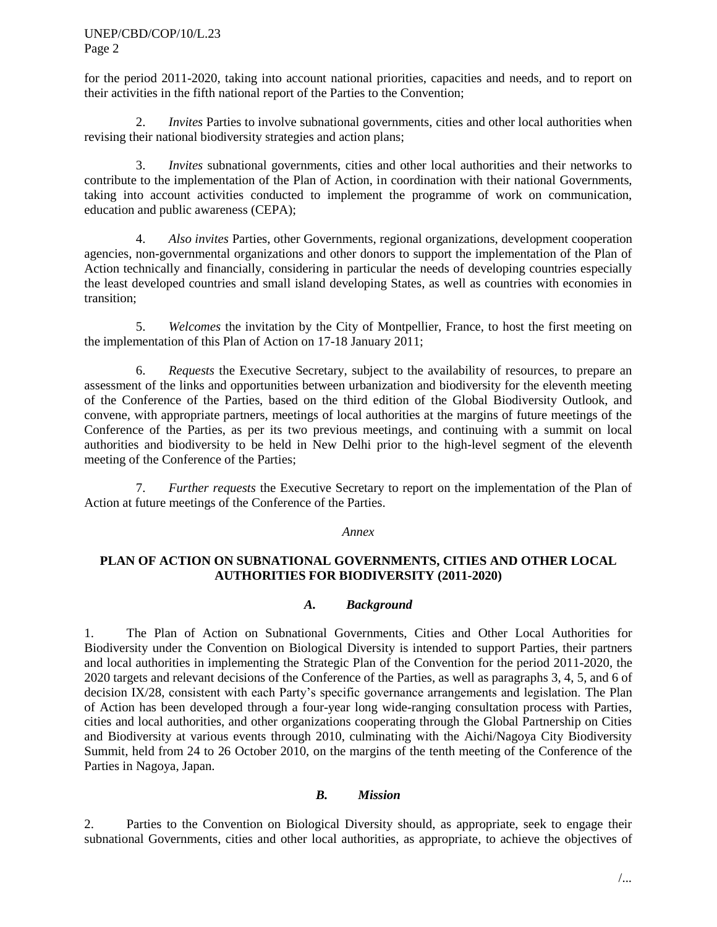#### UNEP/CBD/COP/10/L.23 Page 2

for the period 2011-2020, taking into account national priorities, capacities and needs, and to report on their activities in the fifth national report of the Parties to the Convention;

2. *Invites* Parties to involve subnational governments, cities and other local authorities when revising their national biodiversity strategies and action plans;

3. *Invites* subnational governments, cities and other local authorities and their networks to contribute to the implementation of the Plan of Action, in coordination with their national Governments, taking into account activities conducted to implement the programme of work on communication, education and public awareness (CEPA);

4. *Also invites* Parties, other Governments, regional organizations, development cooperation agencies, non-governmental organizations and other donors to support the implementation of the Plan of Action technically and financially, considering in particular the needs of developing countries especially the least developed countries and small island developing States, as well as countries with economies in transition;

5. *Welcomes* the invitation by the City of Montpellier, France, to host the first meeting on the implementation of this Plan of Action on 17-18 January 2011;

6. *Requests* the Executive Secretary, subject to the availability of resources, to prepare an assessment of the links and opportunities between urbanization and biodiversity for the eleventh meeting of the Conference of the Parties, based on the third edition of the Global Biodiversity Outlook, and convene, with appropriate partners, meetings of local authorities at the margins of future meetings of the Conference of the Parties, as per its two previous meetings, and continuing with a summit on local authorities and biodiversity to be held in New Delhi prior to the high-level segment of the eleventh meeting of the Conference of the Parties;

7. *Further requests* the Executive Secretary to report on the implementation of the Plan of Action at future meetings of the Conference of the Parties.

#### *Annex*

### **PLAN OF ACTION ON SUBNATIONAL GOVERNMENTS, CITIES AND OTHER LOCAL AUTHORITIES FOR BIODIVERSITY (2011-2020)**

### *A. Background*

1. The Plan of Action on Subnational Governments, Cities and Other Local Authorities for Biodiversity under the Convention on Biological Diversity is intended to support Parties, their partners and local authorities in implementing the Strategic Plan of the Convention for the period 2011-2020, the 2020 targets and relevant decisions of the Conference of the Parties, as well as paragraphs 3, 4, 5, and 6 of decision IX/28, consistent with each Party's specific governance arrangements and legislation. The Plan of Action has been developed through a four-year long wide-ranging consultation process with Parties, cities and local authorities, and other organizations cooperating through the Global Partnership on Cities and Biodiversity at various events through 2010, culminating with the Aichi/Nagoya City Biodiversity Summit, held from 24 to 26 October 2010, on the margins of the tenth meeting of the Conference of the Parties in Nagoya, Japan.

#### *B. Mission*

2. Parties to the Convention on Biological Diversity should, as appropriate, seek to engage their subnational Governments, cities and other local authorities, as appropriate, to achieve the objectives of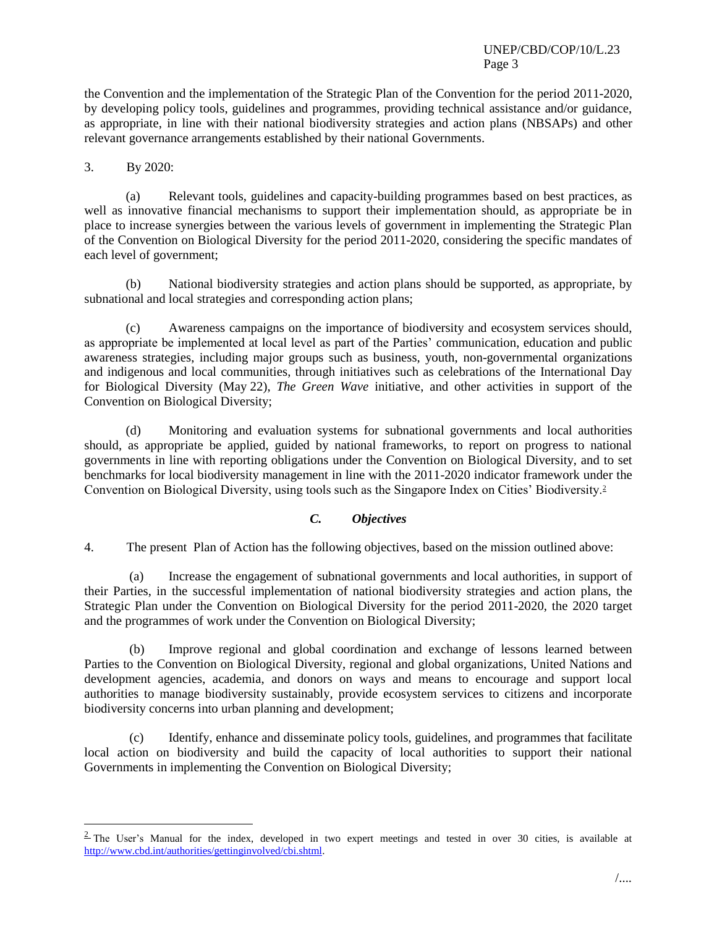### UNEP/CBD/COP/10/L.23 Page 3

the Convention and the implementation of the Strategic Plan of the Convention for the period 2011-2020, by developing policy tools, guidelines and programmes, providing technical assistance and/or guidance, as appropriate, in line with their national biodiversity strategies and action plans (NBSAPs) and other relevant governance arrangements established by their national Governments.

### 3. By 2020:

l

(a) Relevant tools, guidelines and capacity-building programmes based on best practices, as well as innovative financial mechanisms to support their implementation should, as appropriate be in place to increase synergies between the various levels of government in implementing the Strategic Plan of the Convention on Biological Diversity for the period 2011-2020, considering the specific mandates of each level of government;

(b) National biodiversity strategies and action plans should be supported, as appropriate, by subnational and local strategies and corresponding action plans;

(c) Awareness campaigns on the importance of biodiversity and ecosystem services should, as appropriate be implemented at local level as part of the Parties' communication, education and public awareness strategies, including major groups such as business, youth, non-governmental organizations and indigenous and local communities, through initiatives such as celebrations of the International Day for Biological Diversity (May 22), *The Green Wave* initiative, and other activities in support of the Convention on Biological Diversity;

(d) Monitoring and evaluation systems for subnational governments and local authorities should, as appropriate be applied, guided by national frameworks, to report on progress to national governments in line with reporting obligations under the Convention on Biological Diversity, and to set benchmarks for local biodiversity management in line with the 2011-2020 indicator framework under the Convention on Biological Diversity, using tools such as the Singapore Index on Cities' Biodiversity.<sup>2</sup>

# *C. Objectives*

4. The present Plan of Action has the following objectives, based on the mission outlined above:

(a) Increase the engagement of subnational governments and local authorities, in support of their Parties, in the successful implementation of national biodiversity strategies and action plans, the Strategic Plan under the Convention on Biological Diversity for the period 2011-2020, the 2020 target and the programmes of work under the Convention on Biological Diversity;

(b) Improve regional and global coordination and exchange of lessons learned between Parties to the Convention on Biological Diversity, regional and global organizations, United Nations and development agencies, academia, and donors on ways and means to encourage and support local authorities to manage biodiversity sustainably, provide ecosystem services to citizens and incorporate biodiversity concerns into urban planning and development;

(c) Identify, enhance and disseminate policy tools, guidelines, and programmes that facilitate local action on biodiversity and build the capacity of local authorities to support their national Governments in implementing the Convention on Biological Diversity;

 $\frac{2}{3}$  The User's Manual for the index, developed in two expert meetings and tested in over 30 cities, is available at [http://www.cbd.int/authorities/gettinginvolved/cbi.shtml.](http://www.cbd.int/authorities/gettinginvolved/cbi.shtml)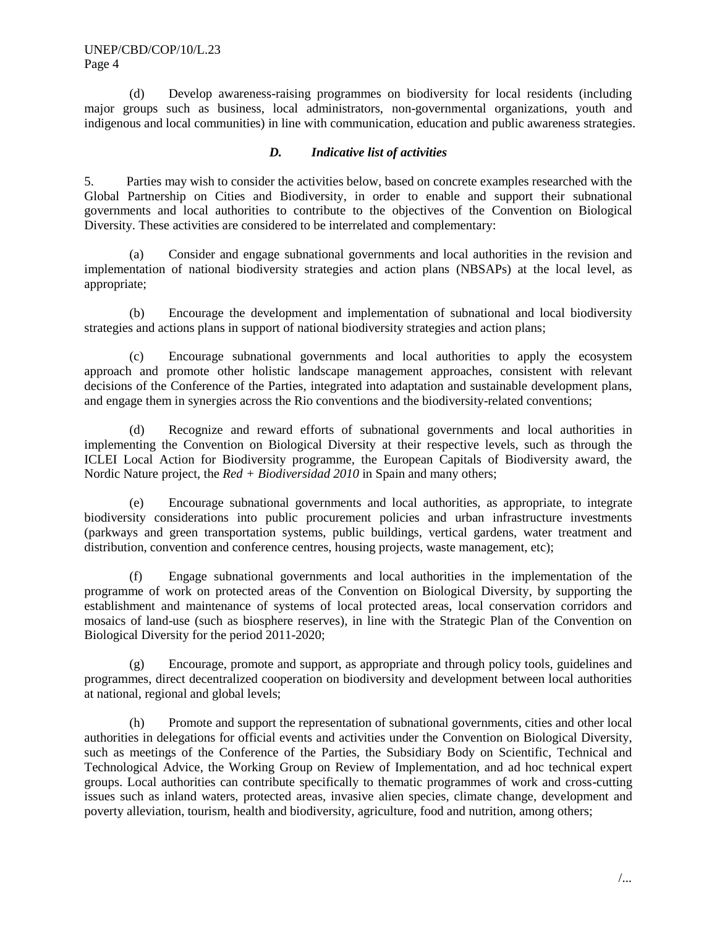(d) Develop awareness-raising programmes on biodiversity for local residents (including major groups such as business, local administrators, non-governmental organizations, youth and indigenous and local communities) in line with communication, education and public awareness strategies.

### *D. Indicative list of activities*

5. Parties may wish to consider the activities below, based on concrete examples researched with the Global Partnership on Cities and Biodiversity, in order to enable and support their subnational governments and local authorities to contribute to the objectives of the Convention on Biological Diversity. These activities are considered to be interrelated and complementary:

(a) Consider and engage subnational governments and local authorities in the revision and implementation of national biodiversity strategies and action plans (NBSAPs) at the local level, as appropriate;

(b) Encourage the development and implementation of subnational and local biodiversity strategies and actions plans in support of national biodiversity strategies and action plans;

(c) Encourage subnational governments and local authorities to apply the ecosystem approach and promote other holistic landscape management approaches, consistent with relevant decisions of the Conference of the Parties, integrated into adaptation and sustainable development plans, and engage them in synergies across the Rio conventions and the biodiversity-related conventions;

(d) Recognize and reward efforts of subnational governments and local authorities in implementing the Convention on Biological Diversity at their respective levels, such as through the ICLEI Local Action for Biodiversity programme, the European Capitals of Biodiversity award, the Nordic Nature project, the *Red + Biodiversidad 2010* in Spain and many others;

(e) Encourage subnational governments and local authorities, as appropriate, to integrate biodiversity considerations into public procurement policies and urban infrastructure investments (parkways and green transportation systems, public buildings, vertical gardens, water treatment and distribution, convention and conference centres, housing projects, waste management, etc);

(f) Engage subnational governments and local authorities in the implementation of the programme of work on protected areas of the Convention on Biological Diversity, by supporting the establishment and maintenance of systems of local protected areas, local conservation corridors and mosaics of land-use (such as biosphere reserves), in line with the Strategic Plan of the Convention on Biological Diversity for the period 2011-2020;

(g) Encourage, promote and support, as appropriate and through policy tools, guidelines and programmes, direct decentralized cooperation on biodiversity and development between local authorities at national, regional and global levels;

(h) Promote and support the representation of subnational governments, cities and other local authorities in delegations for official events and activities under the Convention on Biological Diversity, such as meetings of the Conference of the Parties, the Subsidiary Body on Scientific, Technical and Technological Advice, the Working Group on Review of Implementation, and ad hoc technical expert groups. Local authorities can contribute specifically to thematic programmes of work and cross-cutting issues such as inland waters, protected areas, invasive alien species, climate change, development and poverty alleviation, tourism, health and biodiversity, agriculture, food and nutrition, among others;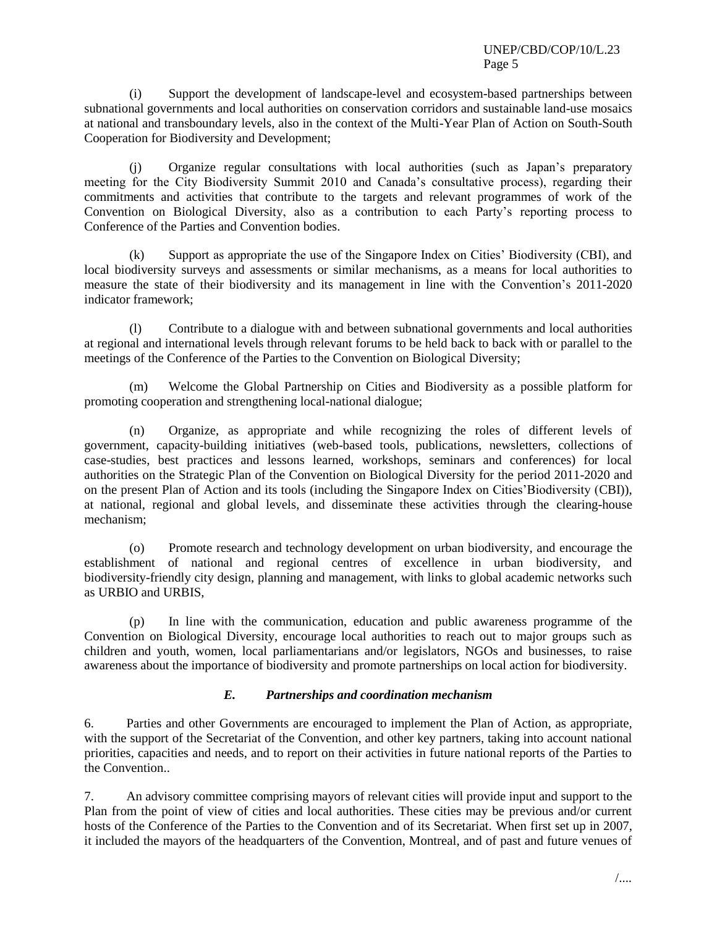(i) Support the development of landscape-level and ecosystem-based partnerships between subnational governments and local authorities on conservation corridors and sustainable land-use mosaics at national and transboundary levels, also in the context of the Multi-Year Plan of Action on South-South Cooperation for Biodiversity and Development;

(j) Organize regular consultations with local authorities (such as Japan's preparatory meeting for the City Biodiversity Summit 2010 and Canada's consultative process), regarding their commitments and activities that contribute to the targets and relevant programmes of work of the Convention on Biological Diversity, also as a contribution to each Party's reporting process to Conference of the Parties and Convention bodies.

(k) Support as appropriate the use of the Singapore Index on Cities' Biodiversity (CBI), and local biodiversity surveys and assessments or similar mechanisms, as a means for local authorities to measure the state of their biodiversity and its management in line with the Convention's 2011-2020 indicator framework;

(l) Contribute to a dialogue with and between subnational governments and local authorities at regional and international levels through relevant forums to be held back to back with or parallel to the meetings of the Conference of the Parties to the Convention on Biological Diversity;

(m) Welcome the Global Partnership on Cities and Biodiversity as a possible platform for promoting cooperation and strengthening local-national dialogue;

(n) Organize, as appropriate and while recognizing the roles of different levels of government, capacity-building initiatives (web-based tools, publications, newsletters, collections of case-studies, best practices and lessons learned, workshops, seminars and conferences) for local authorities on the Strategic Plan of the Convention on Biological Diversity for the period 2011-2020 and on the present Plan of Action and its tools (including the Singapore Index on Cities'Biodiversity (CBI)), at national, regional and global levels, and disseminate these activities through the clearing-house mechanism;

(o) Promote research and technology development on urban biodiversity, and encourage the establishment of national and regional centres of excellence in urban biodiversity, and biodiversity-friendly city design, planning and management, with links to global academic networks such as URBIO and URBIS,

(p) In line with the communication, education and public awareness programme of the Convention on Biological Diversity, encourage local authorities to reach out to major groups such as children and youth, women, local parliamentarians and/or legislators, NGOs and businesses, to raise awareness about the importance of biodiversity and promote partnerships on local action for biodiversity.

#### *E. Partnerships and coordination mechanism*

6. Parties and other Governments are encouraged to implement the Plan of Action, as appropriate, with the support of the Secretariat of the Convention, and other key partners, taking into account national priorities, capacities and needs, and to report on their activities in future national reports of the Parties to the Convention..

7. An advisory committee comprising mayors of relevant cities will provide input and support to the Plan from the point of view of cities and local authorities. These cities may be previous and/or current hosts of the Conference of the Parties to the Convention and of its Secretariat. When first set up in 2007, it included the mayors of the headquarters of the Convention, Montreal, and of past and future venues of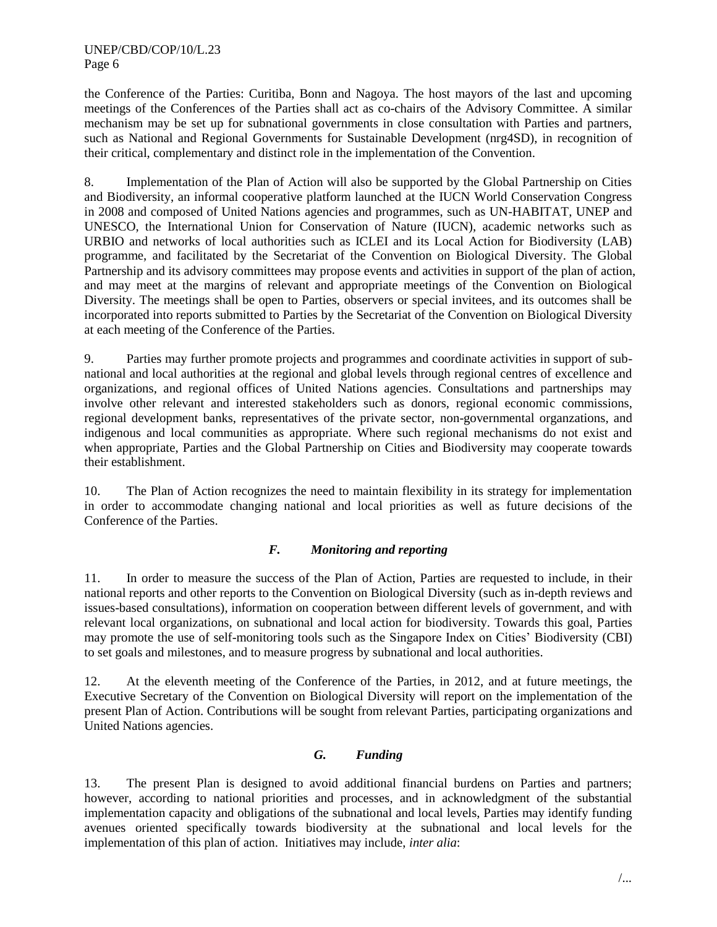the Conference of the Parties: Curitiba, Bonn and Nagoya. The host mayors of the last and upcoming meetings of the Conferences of the Parties shall act as co-chairs of the Advisory Committee. A similar mechanism may be set up for subnational governments in close consultation with Parties and partners, such as National and Regional Governments for Sustainable Development (nrg4SD), in recognition of their critical, complementary and distinct role in the implementation of the Convention.

8. Implementation of the Plan of Action will also be supported by the Global Partnership on Cities and Biodiversity, an informal cooperative platform launched at the IUCN World Conservation Congress in 2008 and composed of United Nations agencies and programmes, such as UN-HABITAT, UNEP and UNESCO, the International Union for Conservation of Nature (IUCN), academic networks such as URBIO and networks of local authorities such as ICLEI and its Local Action for Biodiversity (LAB) programme, and facilitated by the Secretariat of the Convention on Biological Diversity. The Global Partnership and its advisory committees may propose events and activities in support of the plan of action, and may meet at the margins of relevant and appropriate meetings of the Convention on Biological Diversity. The meetings shall be open to Parties, observers or special invitees, and its outcomes shall be incorporated into reports submitted to Parties by the Secretariat of the Convention on Biological Diversity at each meeting of the Conference of the Parties.

9. Parties may further promote projects and programmes and coordinate activities in support of subnational and local authorities at the regional and global levels through regional centres of excellence and organizations, and regional offices of United Nations agencies. Consultations and partnerships may involve other relevant and interested stakeholders such as donors, regional economic commissions, regional development banks, representatives of the private sector, non-governmental organzations, and indigenous and local communities as appropriate. Where such regional mechanisms do not exist and when appropriate, Parties and the Global Partnership on Cities and Biodiversity may cooperate towards their establishment.

10. The Plan of Action recognizes the need to maintain flexibility in its strategy for implementation in order to accommodate changing national and local priorities as well as future decisions of the Conference of the Parties.

# *F. Monitoring and reporting*

11. In order to measure the success of the Plan of Action, Parties are requested to include, in their national reports and other reports to the Convention on Biological Diversity (such as in-depth reviews and issues-based consultations), information on cooperation between different levels of government, and with relevant local organizations, on subnational and local action for biodiversity. Towards this goal, Parties may promote the use of self-monitoring tools such as the Singapore Index on Cities' Biodiversity (CBI) to set goals and milestones, and to measure progress by subnational and local authorities.

12. At the eleventh meeting of the Conference of the Parties, in 2012, and at future meetings, the Executive Secretary of the Convention on Biological Diversity will report on the implementation of the present Plan of Action. Contributions will be sought from relevant Parties, participating organizations and United Nations agencies.

### *G. Funding*

13. The present Plan is designed to avoid additional financial burdens on Parties and partners; however, according to national priorities and processes, and in acknowledgment of the substantial implementation capacity and obligations of the subnational and local levels, Parties may identify funding avenues oriented specifically towards biodiversity at the subnational and local levels for the implementation of this plan of action. Initiatives may include, *inter alia*: